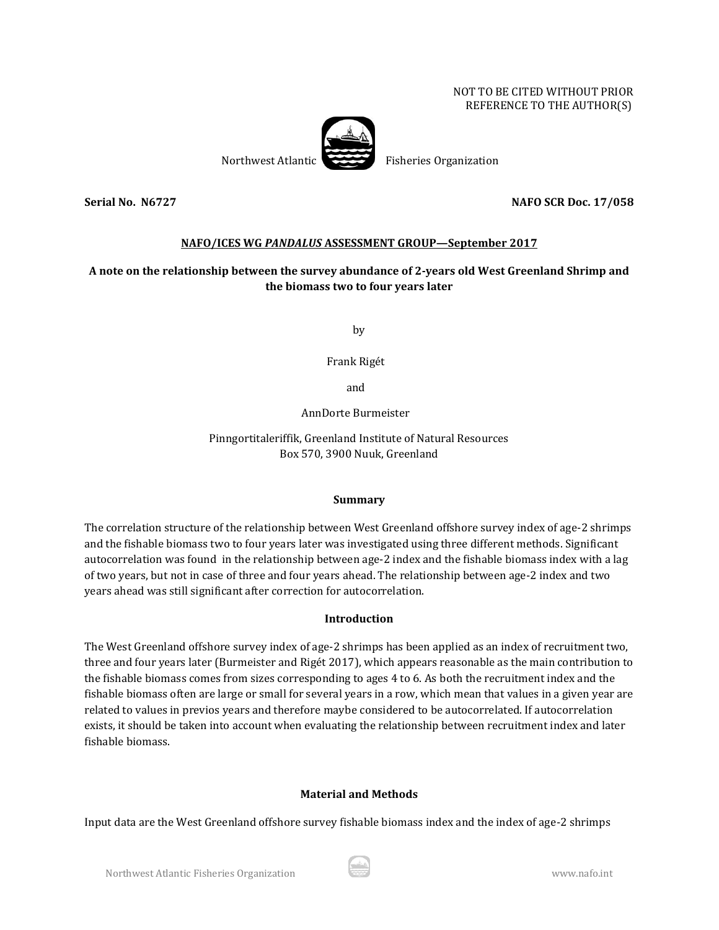#### NOT TO BE CITED WITHOUT PRIOR REFERENCE TO THE AUTHOR(S)



Northwest Atlantic Fisheries Organization

## **Serial No. N6727 NAFO SCR Doc. 17/058**

## **NAFO/ICES WG** *PANDALUS* **ASSESSMENT GROUP—September 2017**

# **A note on the relationship between the survey abundance of 2-years old West Greenland Shrimp and the biomass two to four years later**

by

Frank Rigét

and

AnnDorte Burmeister

Pinngortitaleriffik, Greenland Institute of Natural Resources Box 570, 3900 Nuuk, Greenland

#### **Summary**

The correlation structure of the relationship between West Greenland offshore survey index of age-2 shrimps and the fishable biomass two to four years later was investigated using three different methods. Significant autocorrelation was found in the relationship between age-2 index and the fishable biomass index with a lag of two years, but not in case of three and four years ahead. The relationship between age-2 index and two years ahead was still significant after correction for autocorrelation.

#### **Introduction**

The West Greenland offshore survey index of age-2 shrimps has been applied as an index of recruitment two, three and four years later (Burmeister and Rigét 2017), which appears reasonable as the main contribution to the fishable biomass comes from sizes corresponding to ages 4 to 6. As both the recruitment index and the fishable biomass often are large or small for several years in a row, which mean that values in a given year are related to values in previos years and therefore maybe considered to be autocorrelated. If autocorrelation exists, it should be taken into account when evaluating the relationship between recruitment index and later fishable biomass.

#### **Material and Methods**

Input data are the West Greenland offshore survey fishable biomass index and the index of age-2 shrimps

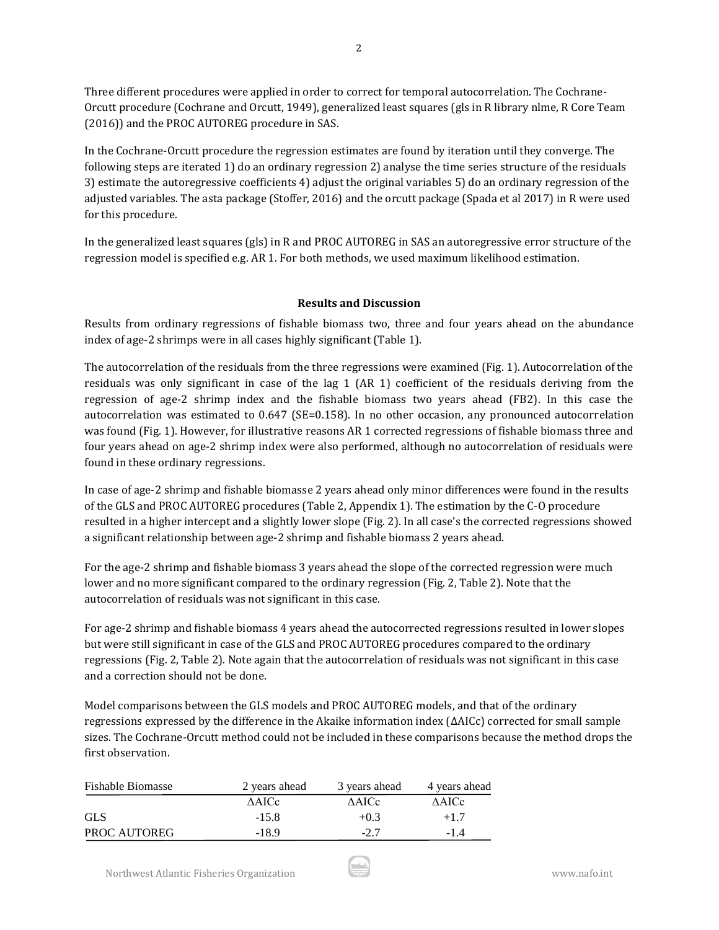Three different procedures were applied in order to correct for temporal autocorrelation. The Cochrane-Orcutt procedure (Cochrane and Orcutt, 1949), generalized least squares (gls in R library nlme, R Core Team (2016)) and the PROC AUTOREG procedure in SAS.

In the Cochrane-Orcutt procedure the regression estimates are found by iteration until they converge. The following steps are iterated 1) do an ordinary regression 2) analyse the time series structure of the residuals 3) estimate the autoregressive coefficients 4) adjust the original variables 5) do an ordinary regression of the adjusted variables. The asta package (Stoffer, 2016) and the orcutt package (Spada et al 2017) in R were used for this procedure.

In the generalized least squares (gls) in R and PROC AUTOREG in SAS an autoregressive error structure of the regression model is specified e.g. AR 1. For both methods, we used maximum likelihood estimation.

## **Results and Discussion**

Results from ordinary regressions of fishable biomass two, three and four years ahead on the abundance index of age-2 shrimps were in all cases highly significant (Table 1).

The autocorrelation of the residuals from the three regressions were examined (Fig. 1). Autocorrelation of the residuals was only significant in case of the lag 1 (AR 1) coefficient of the residuals deriving from the regression of age-2 shrimp index and the fishable biomass two years ahead (FB2). In this case the autocorrelation was estimated to 0.647 (SE=0.158). In no other occasion, any pronounced autocorrelation was found (Fig. 1). However, for illustrative reasons AR 1 corrected regressions of fishable biomass three and four years ahead on age-2 shrimp index were also performed, although no autocorrelation of residuals were found in these ordinary regressions.

In case of age-2 shrimp and fishable biomasse 2 years ahead only minor differences were found in the results of the GLS and PROC AUTOREG procedures (Table 2, Appendix 1). The estimation by the C-O procedure resulted in a higher intercept and a slightly lower slope (Fig. 2). In all case's the corrected regressions showed a significant relationship between age-2 shrimp and fishable biomass 2 years ahead.

For the age-2 shrimp and fishable biomass 3 years ahead the slope of the corrected regression were much lower and no more significant compared to the ordinary regression (Fig. 2, Table 2). Note that the autocorrelation of residuals was not significant in this case.

For age-2 shrimp and fishable biomass 4 years ahead the autocorrected regressions resulted in lower slopes but were still significant in case of the GLS and PROC AUTOREG procedures compared to the ordinary regressions (Fig. 2, Table 2). Note again that the autocorrelation of residuals was not significant in this case and a correction should not be done.

Model comparisons between the GLS models and PROC AUTOREG models, and that of the ordinary regressions expressed by the difference in the Akaike information index (ΔAICc) corrected for small sample sizes. The Cochrane-Orcutt method could not be included in these comparisons because the method drops the first observation.

| <b>Fishable Biomasse</b> | 2 years ahead | 3 years ahead | 4 years ahead |
|--------------------------|---------------|---------------|---------------|
|                          | <b>AAICc</b>  | <b>AAICc</b>  | <b>AAICc</b>  |
| <b>GLS</b>               | $-15.8$       | $+0.3$        | $+1.7$        |
| <b>PROC AUTOREG</b>      | -189          | $-2.7$        | $-1.4$        |

2

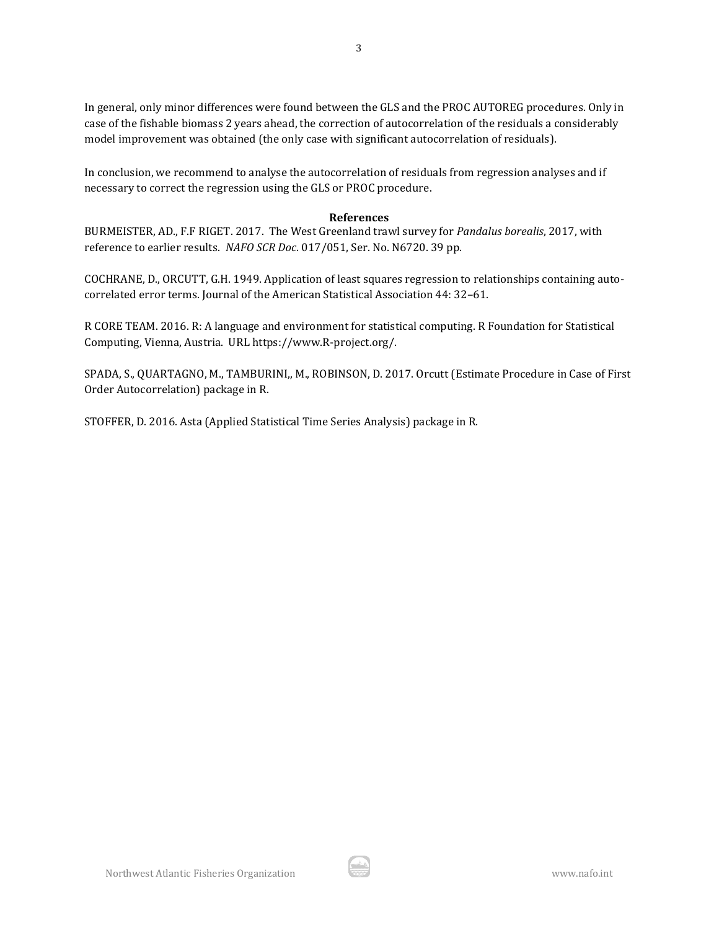In general, only minor differences were found between the GLS and the PROC AUTOREG procedures. Only in case of the fishable biomass 2 years ahead, the correction of autocorrelation of the residuals a considerably model improvement was obtained (the only case with significant autocorrelation of residuals).

In conclusion, we recommend to analyse the autocorrelation of residuals from regression analyses and if necessary to correct the regression using the GLS or PROC procedure.

#### **References**

BURMEISTER, AD., F.F RIGET. 2017. The West Greenland trawl survey for *Pandalus borealis*, 2017, with reference to earlier results. *NAFO SCR Doc*. 017/051, Ser. No. N6720. 39 pp.

COCHRANE, D., ORCUTT, G.H. 1949. Application of least squares regression to relationships containing autocorrelated error terms. Journal of the American Statistical Association 44: 32–61.

R CORE TEAM. 2016. R: A language and environment for statistical computing. R Foundation for Statistical Computing, Vienna, Austria. URL https://www.R-project.org/.

SPADA, S., QUARTAGNO, M., TAMBURINI,, M., ROBINSON, D. 2017. Orcutt (Estimate Procedure in Case of First Order Autocorrelation) package in R.

STOFFER, D. 2016. Asta (Applied Statistical Time Series Analysis) package in R.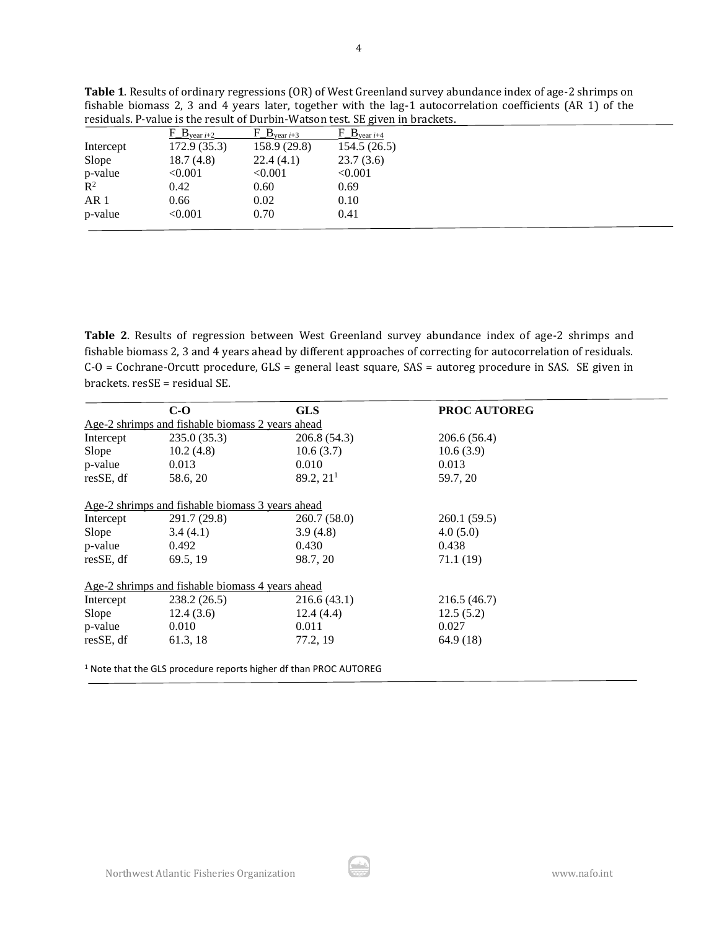|                 |                                |                              | residuals. P-value is the result of Durbin-Watson test. SE given in brackets. |  |
|-----------------|--------------------------------|------------------------------|-------------------------------------------------------------------------------|--|
|                 | $F \cdot B_{\text{year } i+2}$ | $F \cdot B$ year <i>i</i> +3 | $F \cdot B_{\text{year } i+4}$                                                |  |
| Intercept       | 172.9(35.3)                    | 158.9(29.8)                  | 154.5(26.5)                                                                   |  |
| Slope           | 18.7(4.8)                      | 22.4(4.1)                    | 23.7(3.6)                                                                     |  |
| p-value         | < 0.001                        | < 0.001                      | < 0.001                                                                       |  |
| $\mathbb{R}^2$  | 0.42                           | 0.60                         | 0.69                                                                          |  |
| AR <sub>1</sub> | 0.66                           | 0.02                         | 0.10                                                                          |  |
| p-value         | < 0.001                        | 0.70                         | 0.41                                                                          |  |

**Table 1**. Results of ordinary regressions (OR) of West Greenland survey abundance index of age-2 shrimps on fishable biomass 2, 3 and 4 years later, together with the lag-1 autocorrelation coefficients (AR 1) of the

**Table 2**. Results of regression between West Greenland survey abundance index of age-2 shrimps and fishable biomass 2, 3 and 4 years ahead by different approaches of correcting for autocorrelation of residuals. C-O = Cochrane-Orcutt procedure, GLS = general least square, SAS = autoreg procedure in SAS. SE given in brackets. resSE = residual SE.

|           | $C-O$                                            | <b>GLS</b>                                                                   | <b>PROC AUTOREG</b> |
|-----------|--------------------------------------------------|------------------------------------------------------------------------------|---------------------|
|           | Age-2 shrimps and fishable biomass 2 years ahead |                                                                              |                     |
| Intercept | 235.0(35.3)                                      | 206.8 (54.3)                                                                 | 206.6(56.4)         |
| Slope     | 10.2(4.8)                                        | 10.6(3.7)                                                                    | 10.6(3.9)           |
| p-value   | 0.013                                            | 0.010                                                                        | 0.013               |
| resSE, df | 58.6, 20                                         | 89.2, 21 <sup>1</sup>                                                        | 59.7, 20            |
|           | Age-2 shrimps and fishable biomass 3 years ahead |                                                                              |                     |
| Intercept | 291.7 (29.8)                                     | 260.7(58.0)                                                                  | 260.1(59.5)         |
| Slope     | 3.4(4.1)                                         | 3.9(4.8)                                                                     | 4.0(5.0)            |
| p-value   | 0.492                                            | 0.430                                                                        | 0.438               |
| resSE, df | 69.5, 19                                         | 98.7, 20                                                                     | 71.1 (19)           |
|           | Age-2 shrimps and fishable biomass 4 years ahead |                                                                              |                     |
| Intercept | 238.2(26.5)                                      | 216.6(43.1)                                                                  | 216.5(46.7)         |
| Slope     | 12.4(3.6)                                        | 12.4(4.4)                                                                    | 12.5(5.2)           |
| p-value   | 0.010                                            | 0.011                                                                        | 0.027               |
| resSE, df | 61.3, 18                                         | 77.2, 19                                                                     | 64.9 (18)           |
|           |                                                  | <sup>1</sup> Note that the GLS procedure reports higher df than PROC AUTOREG |                     |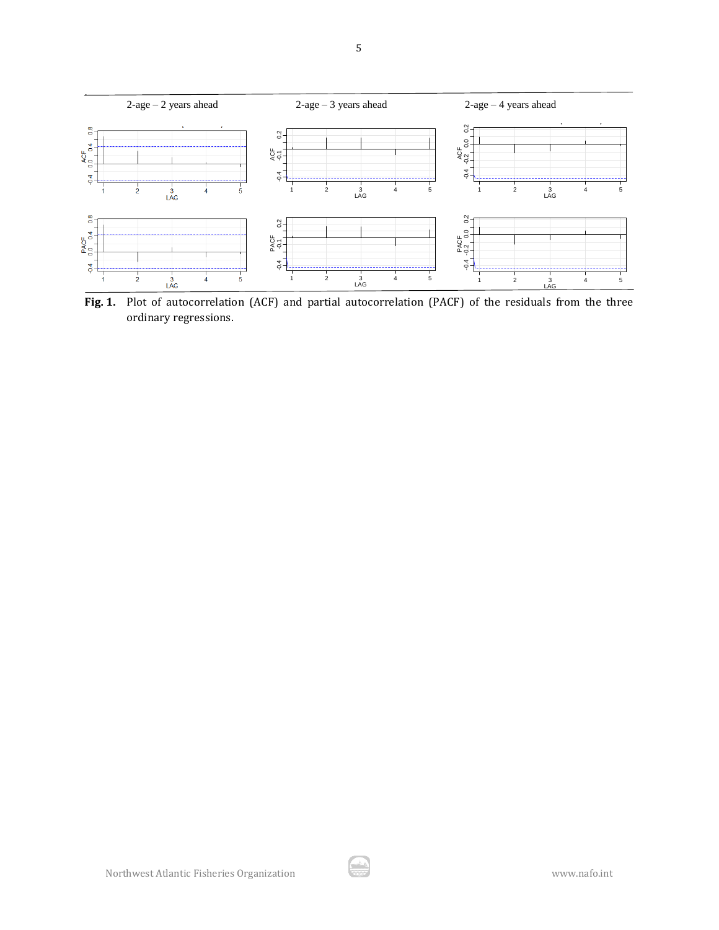

5

**Fig. 1.** Plot of autocorrelation (ACF) and partial autocorrelation (PACF) of the residuals from the three ordinary regressions.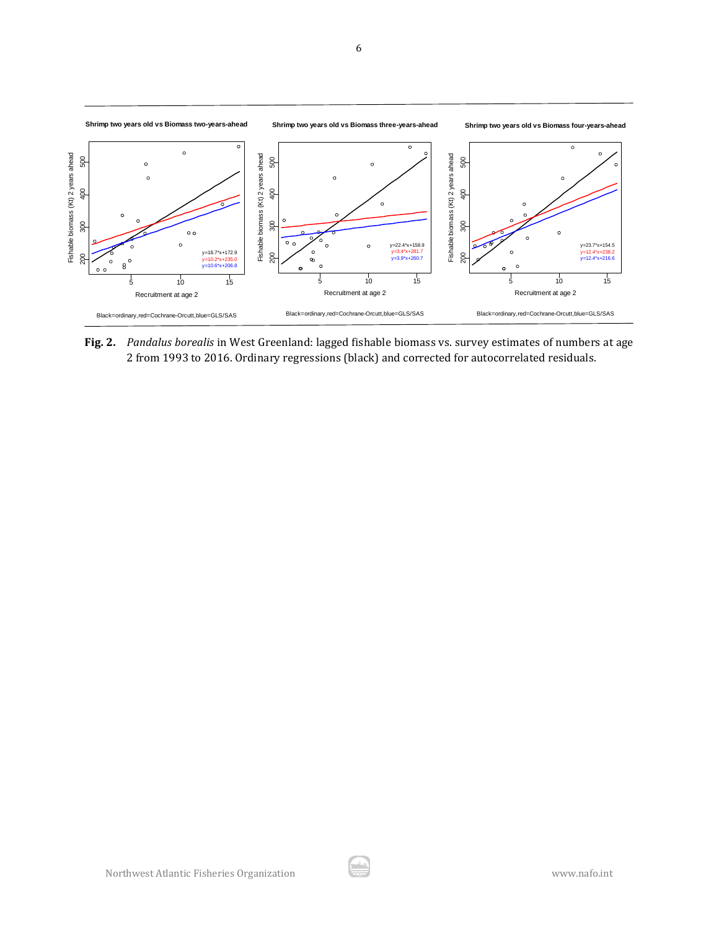

**Fig. 2.** *Pandalus borealis* in West Greenland: lagged fishable biomass vs. survey estimates of numbers at age 2 from 1993 to 2016. Ordinary regressions (black) and corrected for autocorrelated residuals.

÷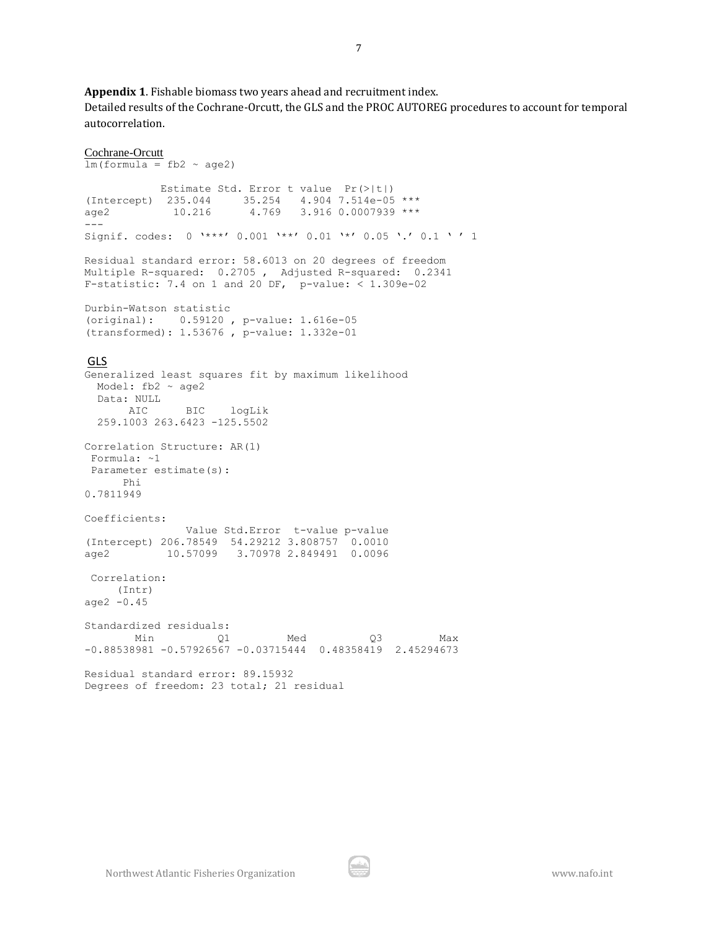**Appendix 1**. Fishable biomass two years ahead and recruitment index.

Detailed results of the Cochrane-Orcutt, the GLS and the PROC AUTOREG procedures to account for temporal autocorrelation.

```
Cochrane-Orcutt
lm(formula = fb2 ~ ~ aqe2) Estimate Std. Error t value Pr(>|t|) 
(Intercept) 235.044 35.254 4.904 7.514e-05 ***
age2 10.216 4.769 3.916 0.0007939 ***
---
Signif. codes: 0 \text{ '***' } 0.001 \text{ '***' } 0.01 \text{ '*} 0.05 \text{ '.' } 0.1 \text{ ' ' } 1Residual standard error: 58.6013 on 20 degrees of freedom
Multiple R-squared: 0.2705 , Adjusted R-squared: 0.2341
F-statistic: 7.4 on 1 and 20 DF, p-value: < 1.309e-02Durbin-Watson statistic 
(original): 0.59120 , p-value: 1.616e-05
(transformed): 1.53676 , p-value: 1.332e-01 
GLS
Generalized least squares fit by maximum likelihood
 Model: fb2 ~ age2
  Data: NULL 
      AIC BIC logLik
  259.1003 263.6423 -125.5502
Correlation Structure: AR(1)
Formula: ~1 
Parameter estimate(s):
      Phi 
0.7811949 
Coefficients:
                Value Std.Error t-value p-value
(Intercept) 206.78549 54.29212 3.808757 0.0010
age2 10.57099 3.70978 2.849491 0.0096
Correlation: 
     (Intr)
age2 -0.45 
Standardized residuals:
 Min Q1 Med Q3 Max 
-0.88538981 -0.57926567 -0.03715444 0.48358419 2.45294673 
Residual standard error: 89.15932 
Degrees of freedom: 23 total; 21 residual
```